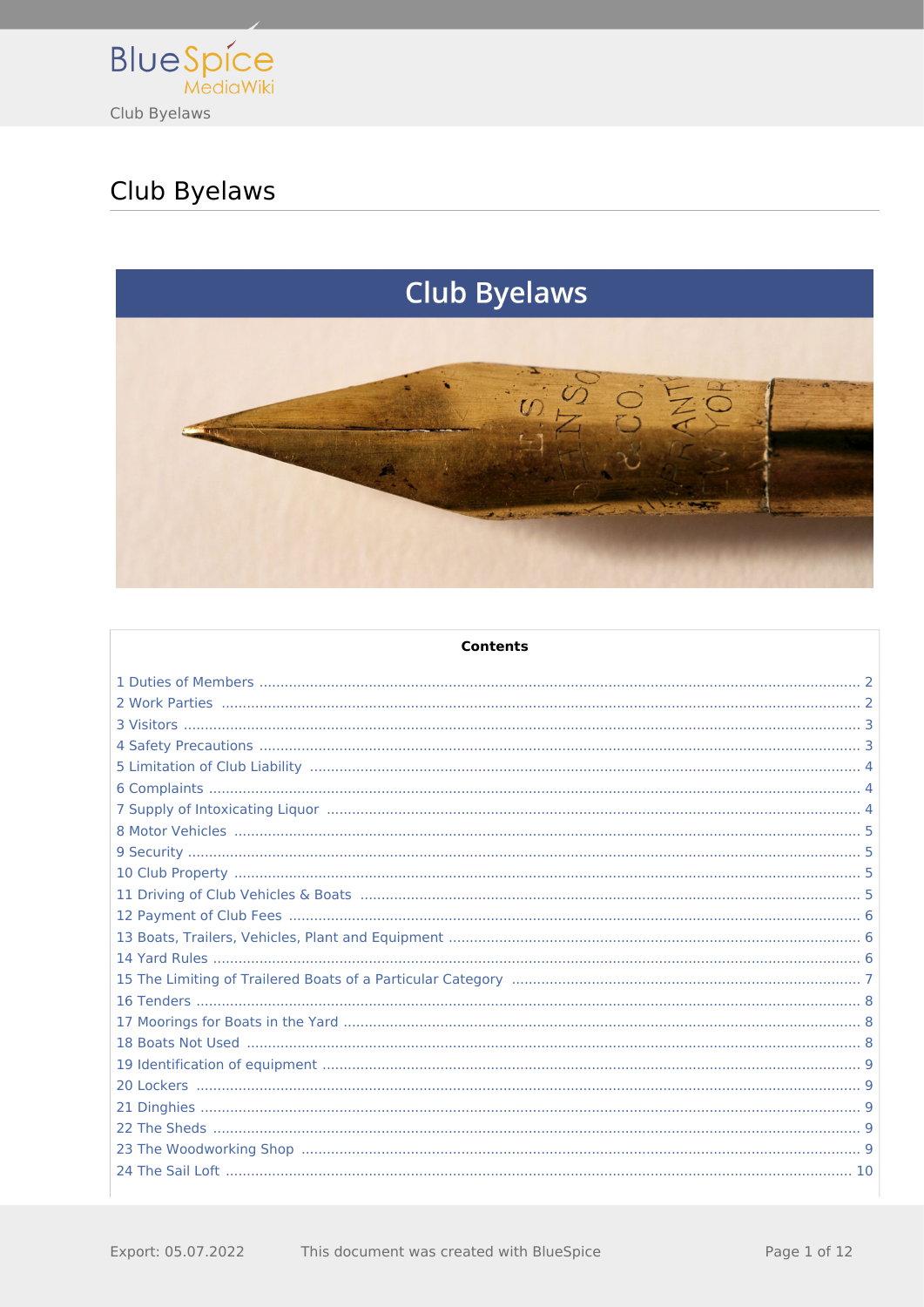

# Club Byelaws



| <b>Contents</b> |  |
|-----------------|--|
|                 |  |
|                 |  |
|                 |  |
|                 |  |
|                 |  |
|                 |  |
|                 |  |
|                 |  |
|                 |  |
|                 |  |
|                 |  |
|                 |  |
|                 |  |
|                 |  |
|                 |  |
|                 |  |
|                 |  |
|                 |  |
|                 |  |
|                 |  |
|                 |  |
|                 |  |
|                 |  |
|                 |  |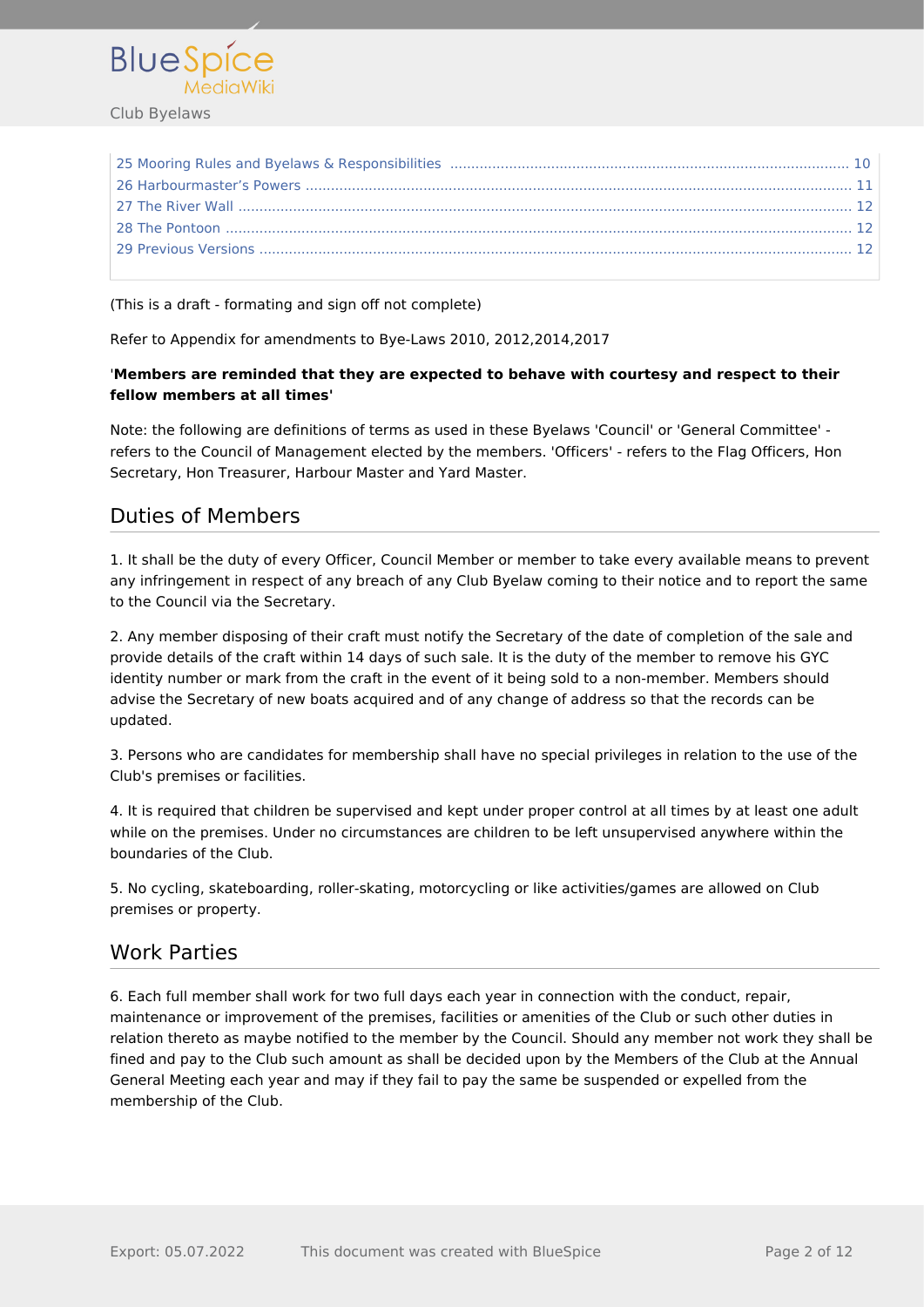

(This is a draft - formating and sign off not complete)

Refer to Appendix for amendments to Bye-Laws 2010, 2012,2014,2017

#### '**Members are reminded that they are expected to behave with courtesy and respect to their fellow members at all times'**

Note: the following are definitions of terms as used in these Byelaws 'Council' or 'General Committee' refers to the Council of Management elected by the members. 'Officers' - refers to the Flag Officers, Hon Secretary, Hon Treasurer, Harbour Master and Yard Master.

## <span id="page-1-0"></span>Duties of Members

1. It shall be the duty of every Officer, Council Member or member to take every available means to prevent any infringement in respect of any breach of any Club Byelaw coming to their notice and to report the same to the Council via the Secretary.

2. Any member disposing of their craft must notify the Secretary of the date of completion of the sale and provide details of the craft within 14 days of such sale. It is the duty of the member to remove his GYC identity number or mark from the craft in the event of it being sold to a non-member. Members should advise the Secretary of new boats acquired and of any change of address so that the records can be updated.

3. Persons who are candidates for membership shall have no special privileges in relation to the use of the Club's premises or facilities.

4. It is required that children be supervised and kept under proper control at all times by at least one adult while on the premises. Under no circumstances are children to be left unsupervised anywhere within the boundaries of the Club.

5. No cycling, skateboarding, roller-skating, motorcycling or like activities/games are allowed on Club premises or property.

#### <span id="page-1-1"></span>Work Parties

6. Each full member shall work for two full days each year in connection with the conduct, repair, maintenance or improvement of the premises, facilities or amenities of the Club or such other duties in relation thereto as maybe notified to the member by the Council. Should any member not work they shall be fined and pay to the Club such amount as shall be decided upon by the Members of the Club at the Annual General Meeting each year and may if they fail to pay the same be suspended or expelled from the membership of the Club.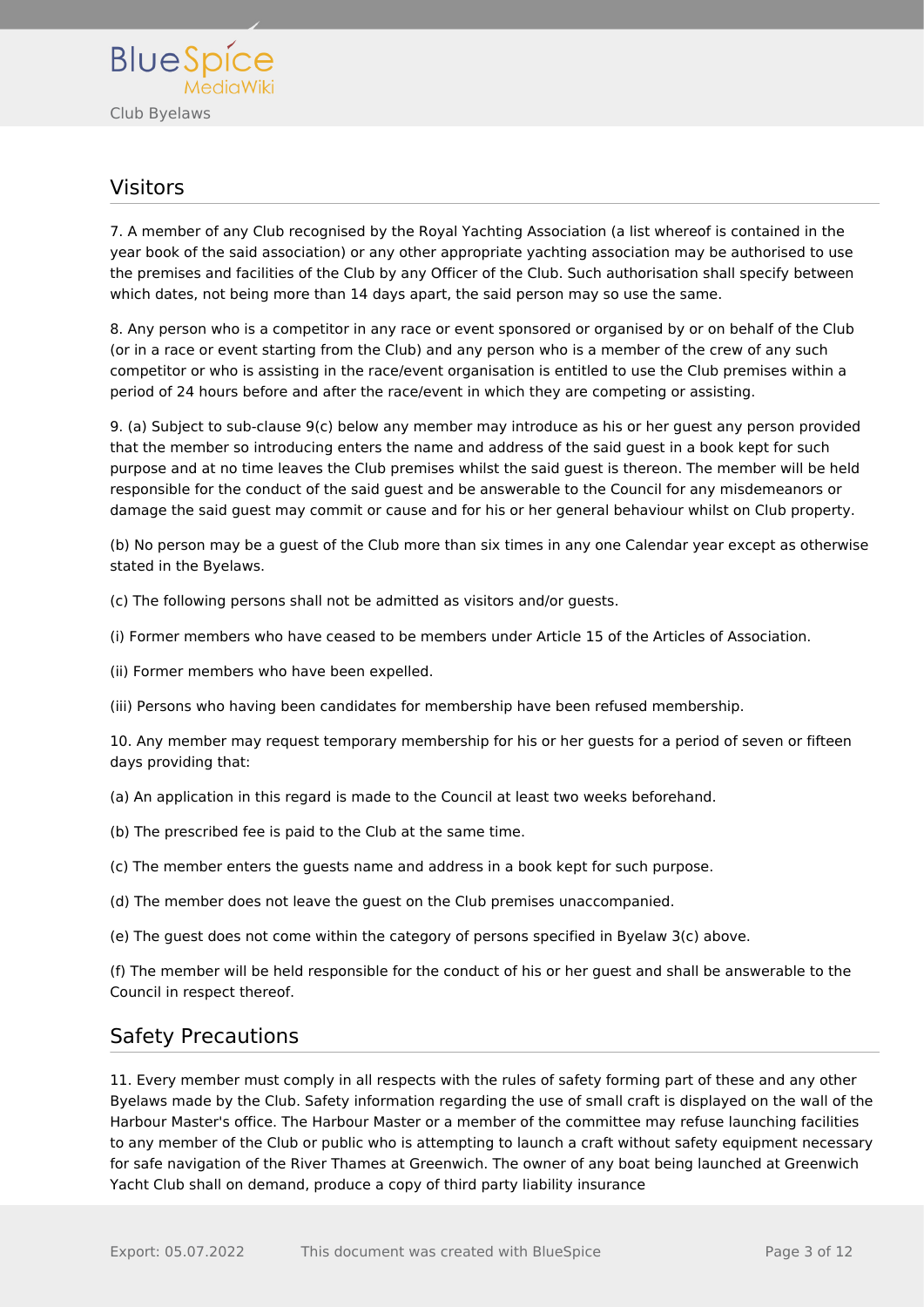

### <span id="page-2-0"></span>Visitors

7. A member of any Club recognised by the Royal Yachting Association (a list whereof is contained in the year book of the said association) or any other appropriate yachting association may be authorised to use the premises and facilities of the Club by any Officer of the Club. Such authorisation shall specify between which dates, not being more than 14 days apart, the said person may so use the same.

8. Any person who is a competitor in any race or event sponsored or organised by or on behalf of the Club (or in a race or event starting from the Club) and any person who is a member of the crew of any such competitor or who is assisting in the race/event organisation is entitled to use the Club premises within a period of 24 hours before and after the race/event in which they are competing or assisting.

9. (a) Subject to sub-clause 9(c) below any member may introduce as his or her guest any person provided that the member so introducing enters the name and address of the said guest in a book kept for such purpose and at no time leaves the Club premises whilst the said guest is thereon. The member will be held responsible for the conduct of the said guest and be answerable to the Council for any misdemeanors or damage the said guest may commit or cause and for his or her general behaviour whilst on Club property.

(b) No person may be a guest of the Club more than six times in any one Calendar year except as otherwise stated in the Byelaws.

(c) The following persons shall not be admitted as visitors and/or guests.

(i) Former members who have ceased to be members under Article 15 of the Articles of Association.

(ii) Former members who have been expelled.

(iii) Persons who having been candidates for membership have been refused membership.

10. Any member may request temporary membership for his or her guests for a period of seven or fifteen days providing that:

(a) An application in this regard is made to the Council at least two weeks beforehand.

- (b) The prescribed fee is paid to the Club at the same time.
- (c) The member enters the guests name and address in a book kept for such purpose.
- (d) The member does not leave the guest on the Club premises unaccompanied.

(e) The guest does not come within the category of persons specified in Byelaw 3(c) above.

(f) The member will be held responsible for the conduct of his or her guest and shall be answerable to the Council in respect thereof.

#### <span id="page-2-1"></span>Safety Precautions

11. Every member must comply in all respects with the rules of safety forming part of these and any other Byelaws made by the Club. Safety information regarding the use of small craft is displayed on the wall of the Harbour Master's office. The Harbour Master or a member of the committee may refuse launching facilities to any member of the Club or public who is attempting to launch a craft without safety equipment necessary for safe navigation of the River Thames at Greenwich. The owner of any boat being launched at Greenwich Yacht Club shall on demand, produce a copy of third party liability insurance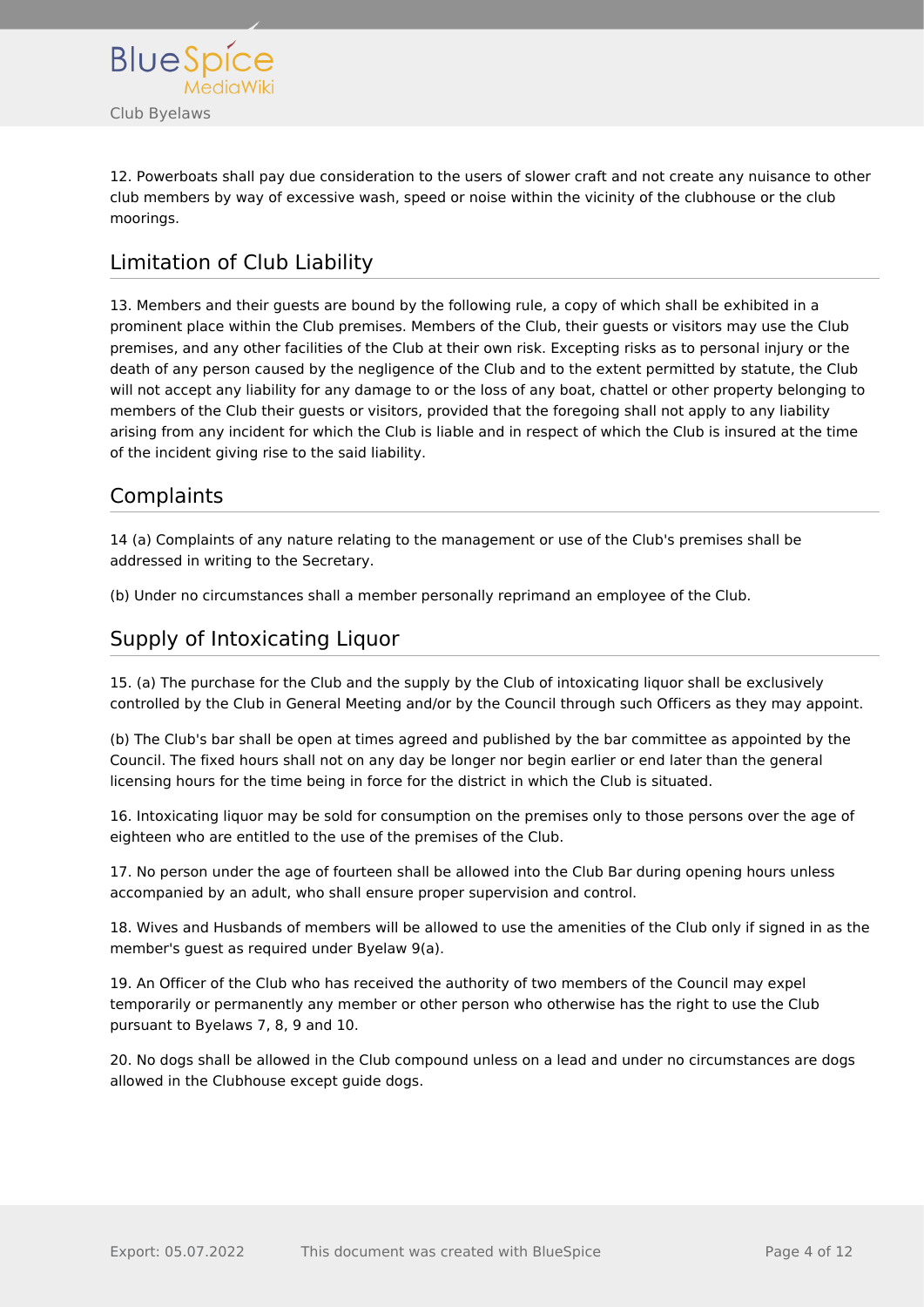

12. Powerboats shall pay due consideration to the users of slower craft and not create any nuisance to other club members by way of excessive wash, speed or noise within the vicinity of the clubhouse or the club moorings.

# <span id="page-3-0"></span>Limitation of Club Liability

13. Members and their guests are bound by the following rule, a copy of which shall be exhibited in a prominent place within the Club premises. Members of the Club, their guests or visitors may use the Club premises, and any other facilities of the Club at their own risk. Excepting risks as to personal injury or the death of any person caused by the negligence of the Club and to the extent permitted by statute, the Club will not accept any liability for any damage to or the loss of any boat, chattel or other property belonging to members of the Club their guests or visitors, provided that the foregoing shall not apply to any liability arising from any incident for which the Club is liable and in respect of which the Club is insured at the time of the incident giving rise to the said liability.

# <span id="page-3-1"></span>**Complaints**

14 (a) Complaints of any nature relating to the management or use of the Club's premises shall be addressed in writing to the Secretary.

(b) Under no circumstances shall a member personally reprimand an employee of the Club.

# <span id="page-3-2"></span>Supply of Intoxicating Liquor

15. (a) The purchase for the Club and the supply by the Club of intoxicating liquor shall be exclusively controlled by the Club in General Meeting and/or by the Council through such Officers as they may appoint.

(b) The Club's bar shall be open at times agreed and published by the bar committee as appointed by the Council. The fixed hours shall not on any day be longer nor begin earlier or end later than the general licensing hours for the time being in force for the district in which the Club is situated.

16. Intoxicating liquor may be sold for consumption on the premises only to those persons over the age of eighteen who are entitled to the use of the premises of the Club.

17. No person under the age of fourteen shall be allowed into the Club Bar during opening hours unless accompanied by an adult, who shall ensure proper supervision and control.

18. Wives and Husbands of members will be allowed to use the amenities of the Club only if signed in as the member's guest as required under Byelaw 9(a).

19. An Officer of the Club who has received the authority of two members of the Council may expel temporarily or permanently any member or other person who otherwise has the right to use the Club pursuant to Byelaws 7, 8, 9 and 10.

20. No dogs shall be allowed in the Club compound unless on a lead and under no circumstances are dogs allowed in the Clubhouse except guide dogs.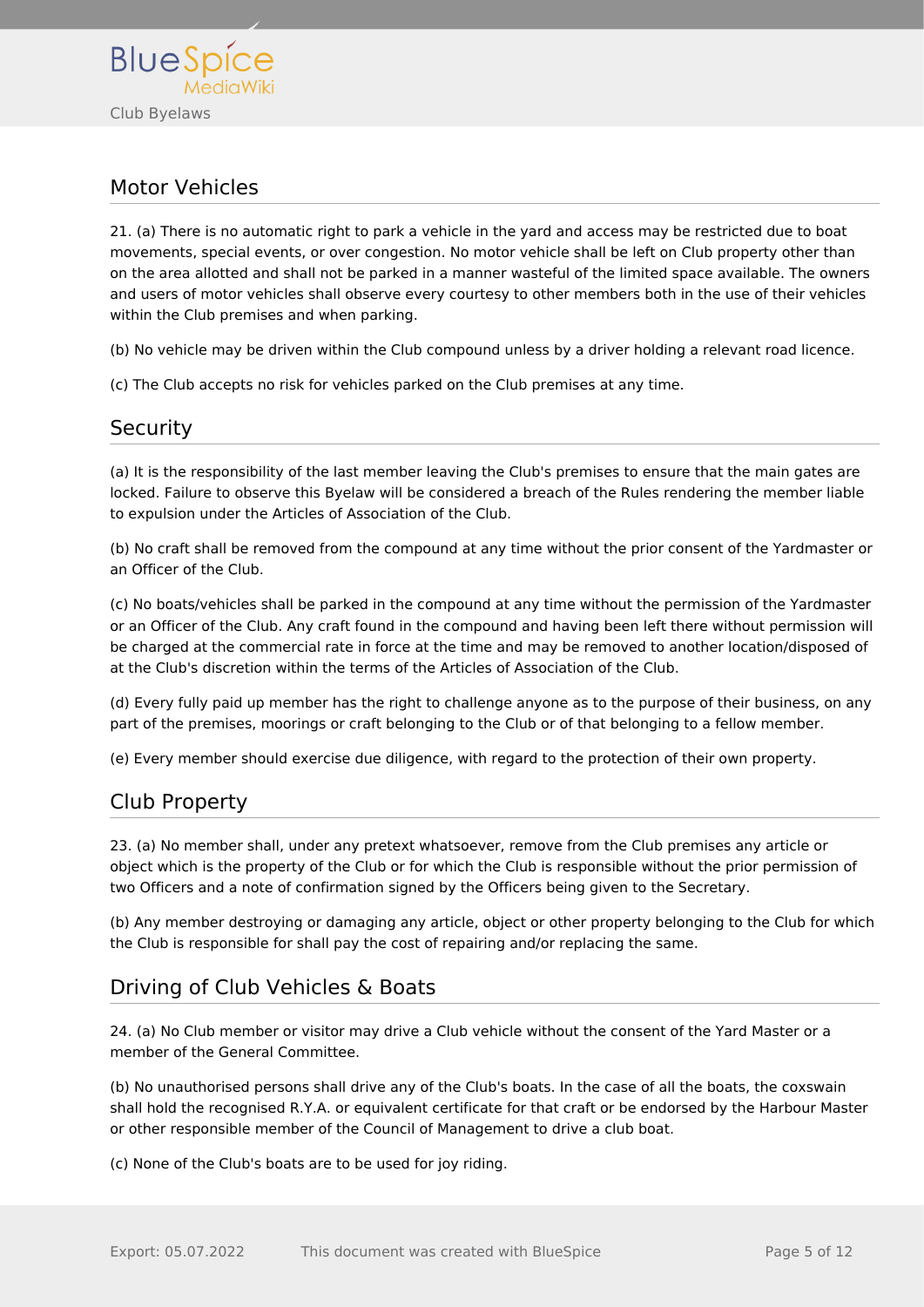

## <span id="page-4-0"></span>Motor Vehicles

21. (a) There is no automatic right to park a vehicle in the yard and access may be restricted due to boat movements, special events, or over congestion. No motor vehicle shall be left on Club property other than on the area allotted and shall not be parked in a manner wasteful of the limited space available. The owners and users of motor vehicles shall observe every courtesy to other members both in the use of their vehicles within the Club premises and when parking.

(b) No vehicle may be driven within the Club compound unless by a driver holding a relevant road licence.

(c) The Club accepts no risk for vehicles parked on the Club premises at any time.

## <span id="page-4-1"></span>**Security**

(a) It is the responsibility of the last member leaving the Club's premises to ensure that the main gates are locked. Failure to observe this Byelaw will be considered a breach of the Rules rendering the member liable to expulsion under the Articles of Association of the Club.

(b) No craft shall be removed from the compound at any time without the prior consent of the Yardmaster or an Officer of the Club.

(c) No boats/vehicles shall be parked in the compound at any time without the permission of the Yardmaster or an Officer of the Club. Any craft found in the compound and having been left there without permission will be charged at the commercial rate in force at the time and may be removed to another location/disposed of at the Club's discretion within the terms of the Articles of Association of the Club.

(d) Every fully paid up member has the right to challenge anyone as to the purpose of their business, on any part of the premises, moorings or craft belonging to the Club or of that belonging to a fellow member.

(e) Every member should exercise due diligence, with regard to the protection of their own property.

## <span id="page-4-2"></span>Club Property

23. (a) No member shall, under any pretext whatsoever, remove from the Club premises any article or object which is the property of the Club or for which the Club is responsible without the prior permission of two Officers and a note of confirmation signed by the Officers being given to the Secretary.

(b) Any member destroying or damaging any article, object or other property belonging to the Club for which the Club is responsible for shall pay the cost of repairing and/or replacing the same.

# <span id="page-4-3"></span>Driving of Club Vehicles & Boats

24. (a) No Club member or visitor may drive a Club vehicle without the consent of the Yard Master or a member of the General Committee.

(b) No unauthorised persons shall drive any of the Club's boats. In the case of all the boats, the coxswain shall hold the recognised R.Y.A. or equivalent certificate for that craft or be endorsed by the Harbour Master or other responsible member of the Council of Management to drive a club boat.

(c) None of the Club's boats are to be used for joy riding.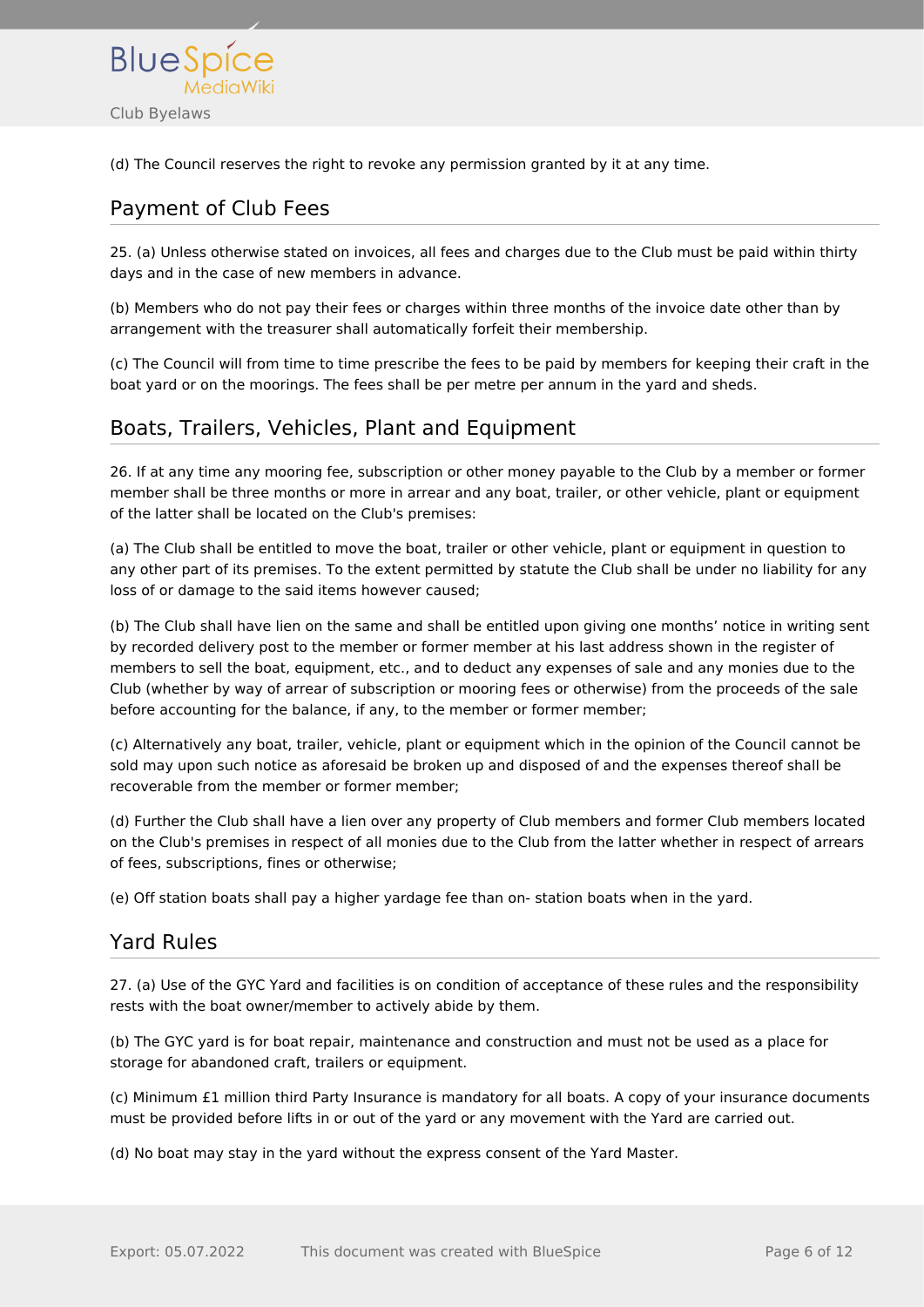

(d) The Council reserves the right to revoke any permission granted by it at any time.

# <span id="page-5-0"></span>Payment of Club Fees

25. (a) Unless otherwise stated on invoices, all fees and charges due to the Club must be paid within thirty days and in the case of new members in advance.

(b) Members who do not pay their fees or charges within three months of the invoice date other than by arrangement with the treasurer shall automatically forfeit their membership.

(c) The Council will from time to time prescribe the fees to be paid by members for keeping their craft in the boat yard or on the moorings. The fees shall be per metre per annum in the yard and sheds.

## <span id="page-5-1"></span>Boats, Trailers, Vehicles, Plant and Equipment

26. If at any time any mooring fee, subscription or other money payable to the Club by a member or former member shall be three months or more in arrear and any boat, trailer, or other vehicle, plant or equipment of the latter shall be located on the Club's premises:

(a) The Club shall be entitled to move the boat, trailer or other vehicle, plant or equipment in question to any other part of its premises. To the extent permitted by statute the Club shall be under no liability for any loss of or damage to the said items however caused;

(b) The Club shall have lien on the same and shall be entitled upon giving one months' notice in writing sent by recorded delivery post to the member or former member at his last address shown in the register of members to sell the boat, equipment, etc., and to deduct any expenses of sale and any monies due to the Club (whether by way of arrear of subscription or mooring fees or otherwise) from the proceeds of the sale before accounting for the balance, if any, to the member or former member;

(c) Alternatively any boat, trailer, vehicle, plant or equipment which in the opinion of the Council cannot be sold may upon such notice as aforesaid be broken up and disposed of and the expenses thereof shall be recoverable from the member or former member;

(d) Further the Club shall have a lien over any property of Club members and former Club members located on the Club's premises in respect of all monies due to the Club from the latter whether in respect of arrears of fees, subscriptions, fines or otherwise;

(e) Off station boats shall pay a higher yardage fee than on- station boats when in the yard.

## <span id="page-5-2"></span>Yard Rules

27. (a) Use of the GYC Yard and facilities is on condition of acceptance of these rules and the responsibility rests with the boat owner/member to actively abide by them.

(b) The GYC yard is for boat repair, maintenance and construction and must not be used as a place for storage for abandoned craft, trailers or equipment.

(c) Minimum £1 million third Party Insurance is mandatory for all boats. A copy of your insurance documents must be provided before lifts in or out of the yard or any movement with the Yard are carried out.

(d) No boat may stay in the yard without the express consent of the Yard Master.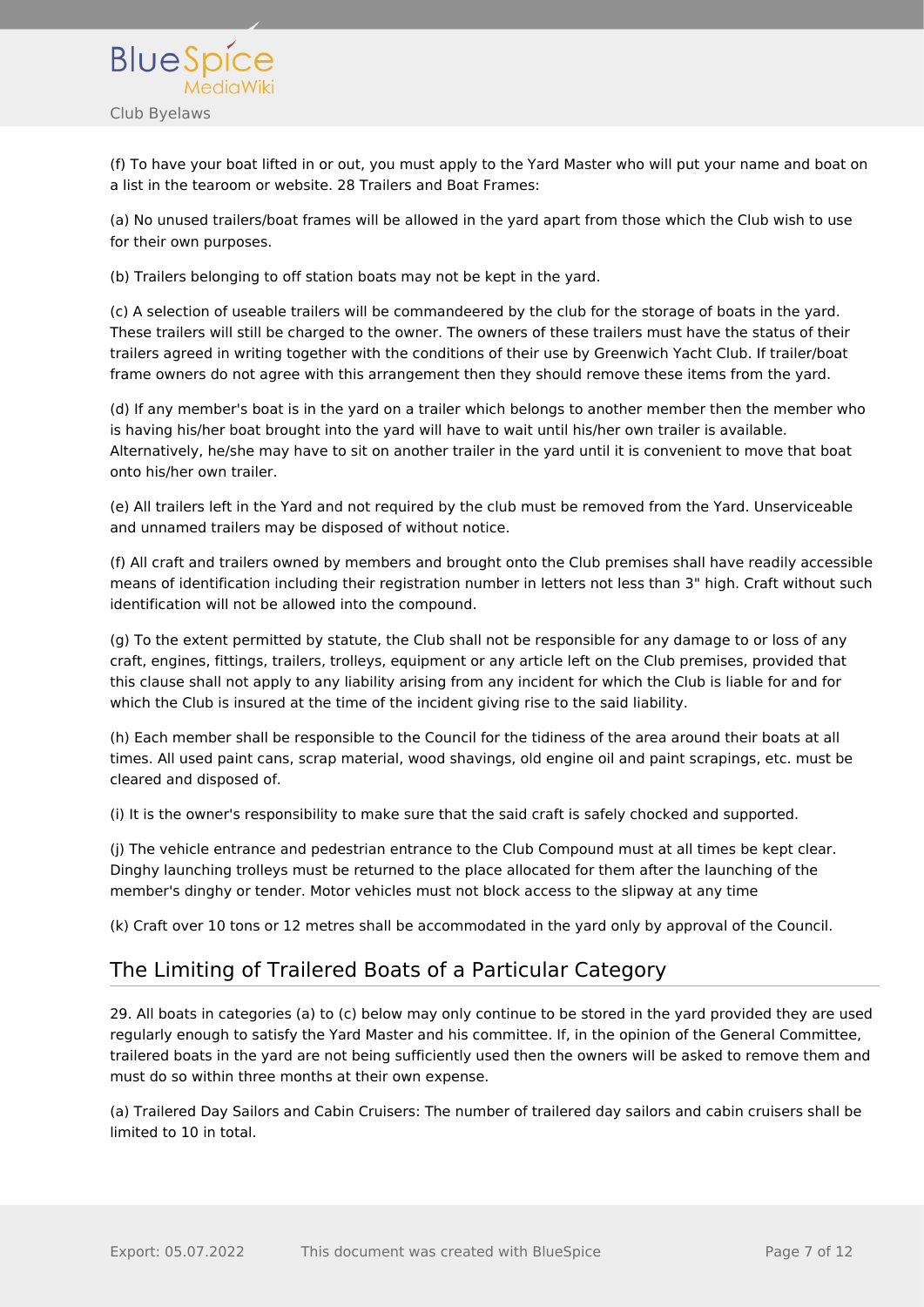

(f) To have your boat lifted in or out, you must apply to the Yard Master who will put your name and boat on a list in the tearoom or website. 28 Trailers and Boat Frames:

(a) No unused trailers/boat frames will be allowed in the yard apart from those which the Club wish to use for their own purposes.

(b) Trailers belonging to off station boats may not be kept in the yard.

(c) A selection of useable trailers will be commandeered by the club for the storage of boats in the yard. These trailers will still be charged to the owner. The owners of these trailers must have the status of their trailers agreed in writing together with the conditions of their use by Greenwich Yacht Club. If trailer/boat frame owners do not agree with this arrangement then they should remove these items from the yard.

(d) If any member's boat is in the yard on a trailer which belongs to another member then the member who is having his/her boat brought into the yard will have to wait until his/her own trailer is available. Alternatively, he/she may have to sit on another trailer in the yard until it is convenient to move that boat onto his/her own trailer.

(e) All trailers left in the Yard and not required by the club must be removed from the Yard. Unserviceable and unnamed trailers may be disposed of without notice.

(f) All craft and trailers owned by members and brought onto the Club premises shall have readily accessible means of identification including their registration number in letters not less than 3" high. Craft without such identification will not be allowed into the compound.

(g) To the extent permitted by statute, the Club shall not be responsible for any damage to or loss of any craft, engines, fittings, trailers, trolleys, equipment or any article left on the Club premises, provided that this clause shall not apply to any liability arising from any incident for which the Club is liable for and for which the Club is insured at the time of the incident giving rise to the said liability.

(h) Each member shall be responsible to the Council for the tidiness of the area around their boats at all times. All used paint cans, scrap material, wood shavings, old engine oil and paint scrapings, etc. must be cleared and disposed of.

(i) It is the owner's responsibility to make sure that the said craft is safely chocked and supported.

(j) The vehicle entrance and pedestrian entrance to the Club Compound must at all times be kept clear. Dinghy launching trolleys must be returned to the place allocated for them after the launching of the member's dinghy or tender. Motor vehicles must not block access to the slipway at any time

(k) Craft over 10 tons or 12 metres shall be accommodated in the yard only by approval of the Council.

## <span id="page-6-0"></span>The Limiting of Trailered Boats of a Particular Category

29. All boats in categories (a) to (c) below may only continue to be stored in the yard provided they are used regularly enough to satisfy the Yard Master and his committee. If, in the opinion of the General Committee, trailered boats in the yard are not being sufficiently used then the owners will be asked to remove them and must do so within three months at their own expense.

(a) Trailered Day Sailors and Cabin Cruisers: The number of trailered day sailors and cabin cruisers shall be limited to 10 in total.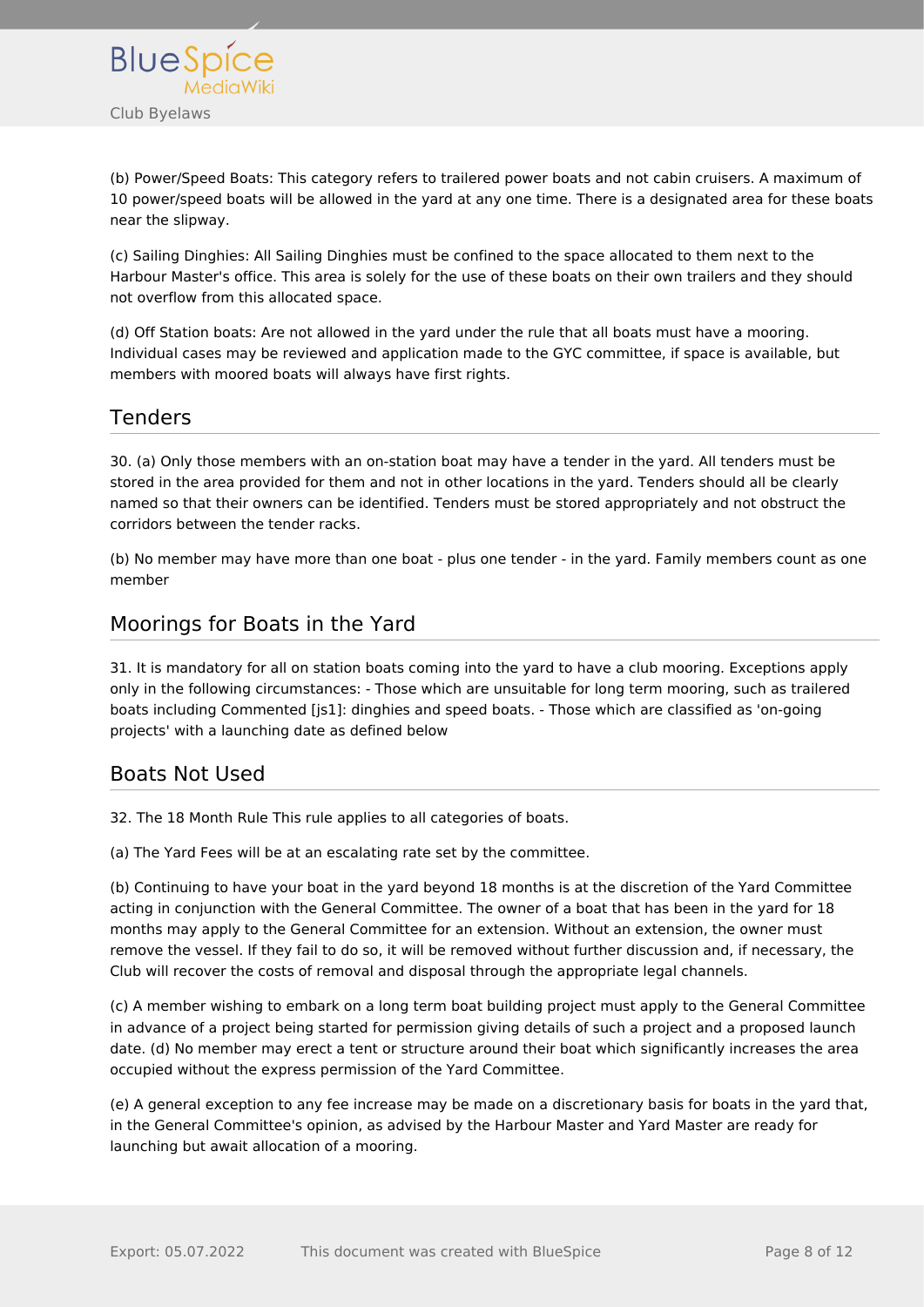

(b) Power/Speed Boats: This category refers to trailered power boats and not cabin cruisers. A maximum of 10 power/speed boats will be allowed in the yard at any one time. There is a designated area for these boats near the slipway.

(c) Sailing Dinghies: All Sailing Dinghies must be confined to the space allocated to them next to the Harbour Master's office. This area is solely for the use of these boats on their own trailers and they should not overflow from this allocated space.

(d) Off Station boats: Are not allowed in the yard under the rule that all boats must have a mooring. Individual cases may be reviewed and application made to the GYC committee, if space is available, but members with moored boats will always have first rights.

#### <span id="page-7-0"></span>Tenders

30. (a) Only those members with an on-station boat may have a tender in the yard. All tenders must be stored in the area provided for them and not in other locations in the yard. Tenders should all be clearly named so that their owners can be identified. Tenders must be stored appropriately and not obstruct the corridors between the tender racks.

(b) No member may have more than one boat - plus one tender - in the yard. Family members count as one member

#### <span id="page-7-1"></span>Moorings for Boats in the Yard

31. It is mandatory for all on station boats coming into the yard to have a club mooring. Exceptions apply only in the following circumstances: - Those which are unsuitable for long term mooring, such as trailered boats including Commented [js1]: dinghies and speed boats. - Those which are classified as 'on-going projects' with a launching date as defined below

## <span id="page-7-2"></span>Boats Not Used

32. The 18 Month Rule This rule applies to all categories of boats.

(a) The Yard Fees will be at an escalating rate set by the committee.

(b) Continuing to have your boat in the yard beyond 18 months is at the discretion of the Yard Committee acting in conjunction with the General Committee. The owner of a boat that has been in the yard for 18 months may apply to the General Committee for an extension. Without an extension, the owner must remove the vessel. If they fail to do so, it will be removed without further discussion and, if necessary, the Club will recover the costs of removal and disposal through the appropriate legal channels.

(c) A member wishing to embark on a long term boat building project must apply to the General Committee in advance of a project being started for permission giving details of such a project and a proposed launch date. (d) No member may erect a tent or structure around their boat which significantly increases the area occupied without the express permission of the Yard Committee.

(e) A general exception to any fee increase may be made on a discretionary basis for boats in the yard that, in the General Committee's opinion, as advised by the Harbour Master and Yard Master are ready for launching but await allocation of a mooring.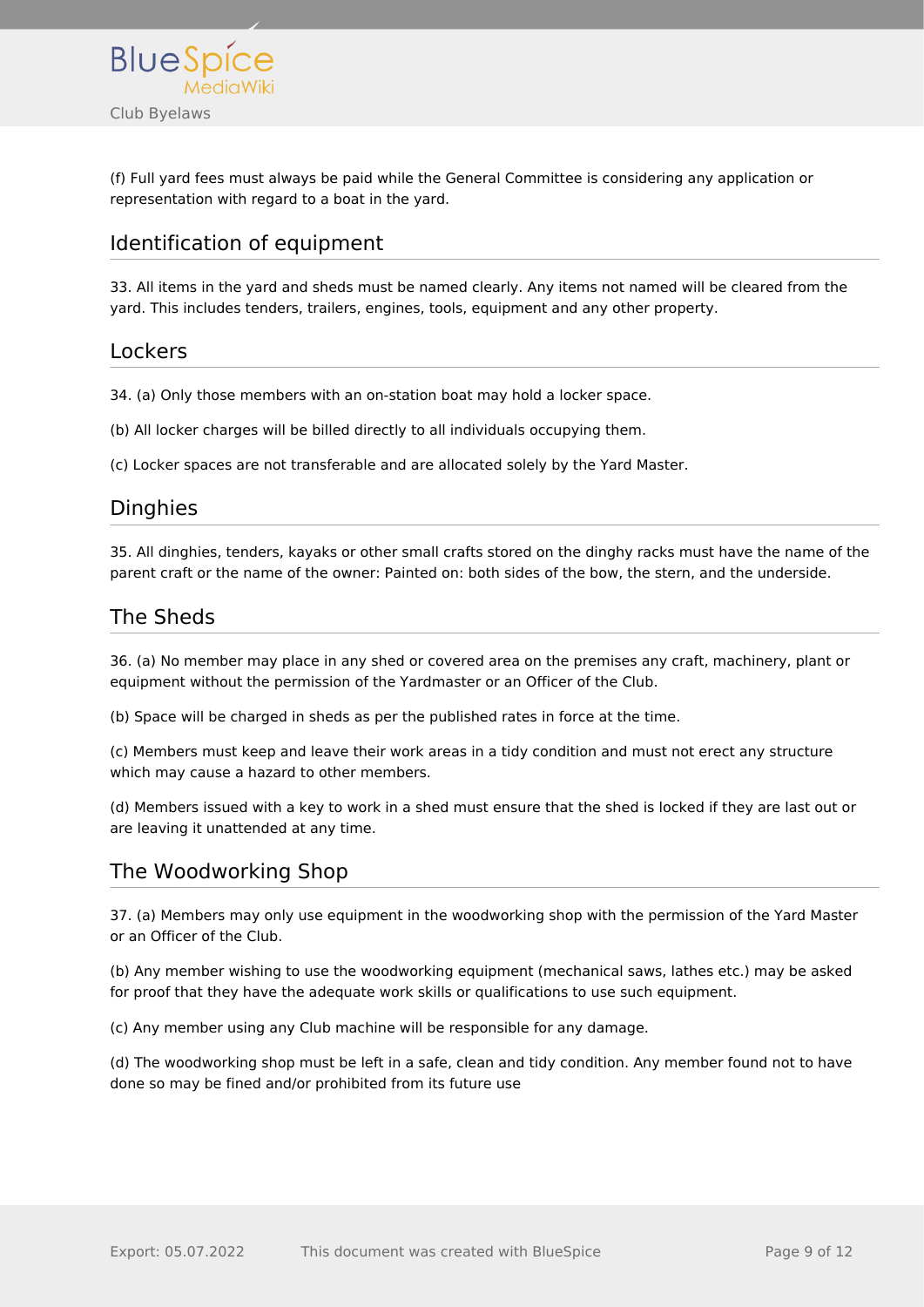

(f) Full yard fees must always be paid while the General Committee is considering any application or representation with regard to a boat in the yard.

## <span id="page-8-0"></span>Identification of equipment

33. All items in the yard and sheds must be named clearly. Any items not named will be cleared from the yard. This includes tenders, trailers, engines, tools, equipment and any other property.

#### <span id="page-8-1"></span>Lockers

34. (a) Only those members with an on-station boat may hold a locker space.

(b) All locker charges will be billed directly to all individuals occupying them.

(c) Locker spaces are not transferable and are allocated solely by the Yard Master.

#### <span id="page-8-2"></span>**Dinghies**

35. All dinghies, tenders, kayaks or other small crafts stored on the dinghy racks must have the name of the parent craft or the name of the owner: Painted on: both sides of the bow, the stern, and the underside.

## <span id="page-8-3"></span>The Sheds

36. (a) No member may place in any shed or covered area on the premises any craft, machinery, plant or equipment without the permission of the Yardmaster or an Officer of the Club.

(b) Space will be charged in sheds as per the published rates in force at the time.

(c) Members must keep and leave their work areas in a tidy condition and must not erect any structure which may cause a hazard to other members.

(d) Members issued with a key to work in a shed must ensure that the shed is locked if they are last out or are leaving it unattended at any time.

#### <span id="page-8-4"></span>The Woodworking Shop

37. (a) Members may only use equipment in the woodworking shop with the permission of the Yard Master or an Officer of the Club.

(b) Any member wishing to use the woodworking equipment (mechanical saws, lathes etc.) may be asked for proof that they have the adequate work skills or qualifications to use such equipment.

(c) Any member using any Club machine will be responsible for any damage.

(d) The woodworking shop must be left in a safe, clean and tidy condition. Any member found not to have done so may be fined and/or prohibited from its future use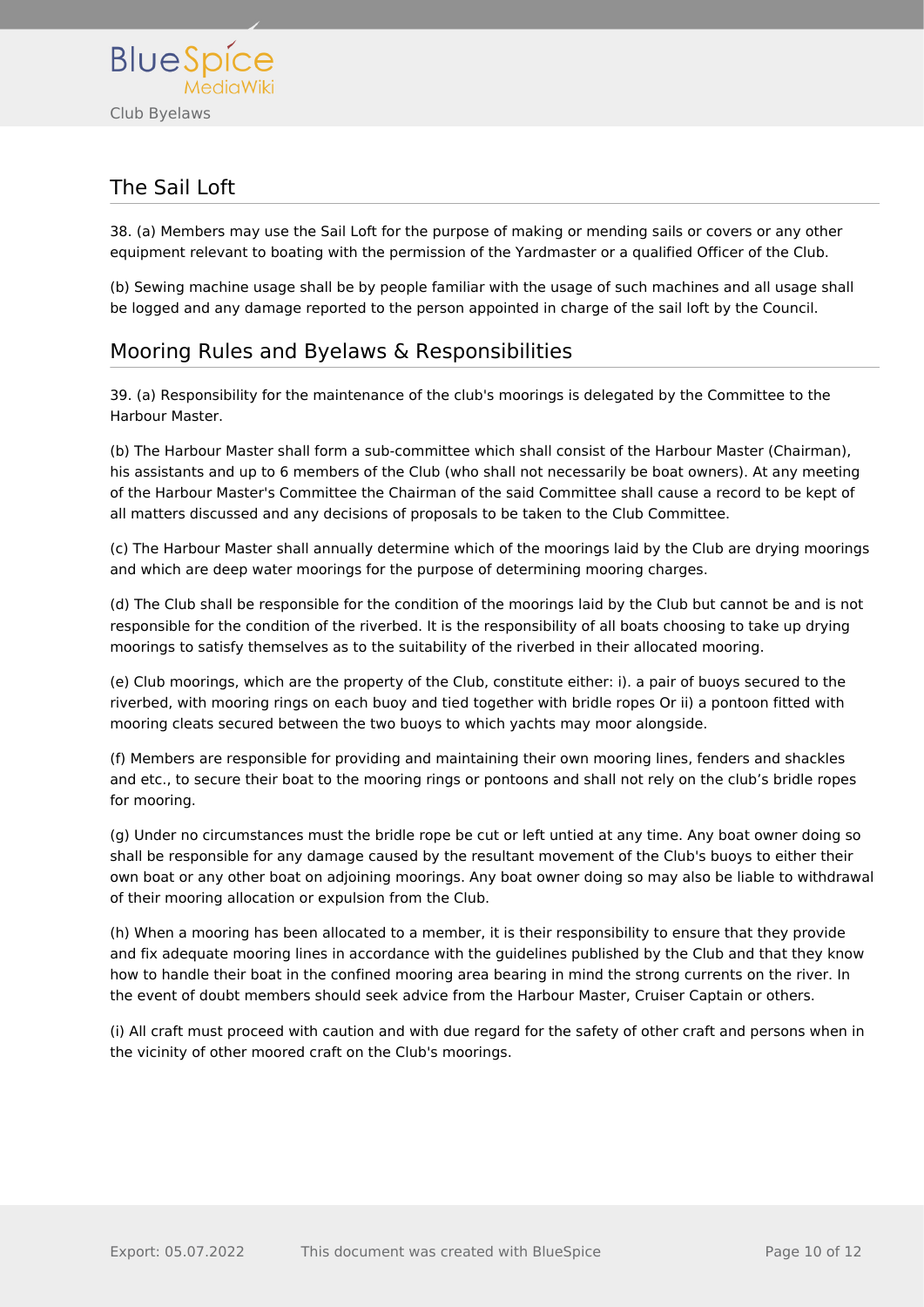

# <span id="page-9-0"></span>The Sail Loft

38. (a) Members may use the Sail Loft for the purpose of making or mending sails or covers or any other equipment relevant to boating with the permission of the Yardmaster or a qualified Officer of the Club.

(b) Sewing machine usage shall be by people familiar with the usage of such machines and all usage shall be logged and any damage reported to the person appointed in charge of the sail loft by the Council.

## <span id="page-9-1"></span>Mooring Rules and Byelaws & Responsibilities

39. (a) Responsibility for the maintenance of the club's moorings is delegated by the Committee to the Harbour Master.

(b) The Harbour Master shall form a sub-committee which shall consist of the Harbour Master (Chairman), his assistants and up to 6 members of the Club (who shall not necessarily be boat owners). At any meeting of the Harbour Master's Committee the Chairman of the said Committee shall cause a record to be kept of all matters discussed and any decisions of proposals to be taken to the Club Committee.

(c) The Harbour Master shall annually determine which of the moorings laid by the Club are drying moorings and which are deep water moorings for the purpose of determining mooring charges.

(d) The Club shall be responsible for the condition of the moorings laid by the Club but cannot be and is not responsible for the condition of the riverbed. It is the responsibility of all boats choosing to take up drying moorings to satisfy themselves as to the suitability of the riverbed in their allocated mooring.

(e) Club moorings, which are the property of the Club, constitute either: i). a pair of buoys secured to the riverbed, with mooring rings on each buoy and tied together with bridle ropes Or ii) a pontoon fitted with mooring cleats secured between the two buoys to which yachts may moor alongside.

(f) Members are responsible for providing and maintaining their own mooring lines, fenders and shackles and etc., to secure their boat to the mooring rings or pontoons and shall not rely on the club's bridle ropes for mooring.

(g) Under no circumstances must the bridle rope be cut or left untied at any time. Any boat owner doing so shall be responsible for any damage caused by the resultant movement of the Club's buoys to either their own boat or any other boat on adjoining moorings. Any boat owner doing so may also be liable to withdrawal of their mooring allocation or expulsion from the Club.

(h) When a mooring has been allocated to a member, it is their responsibility to ensure that they provide and fix adequate mooring lines in accordance with the guidelines published by the Club and that they know how to handle their boat in the confined mooring area bearing in mind the strong currents on the river. In the event of doubt members should seek advice from the Harbour Master, Cruiser Captain or others.

(i) All craft must proceed with caution and with due regard for the safety of other craft and persons when in the vicinity of other moored craft on the Club's moorings.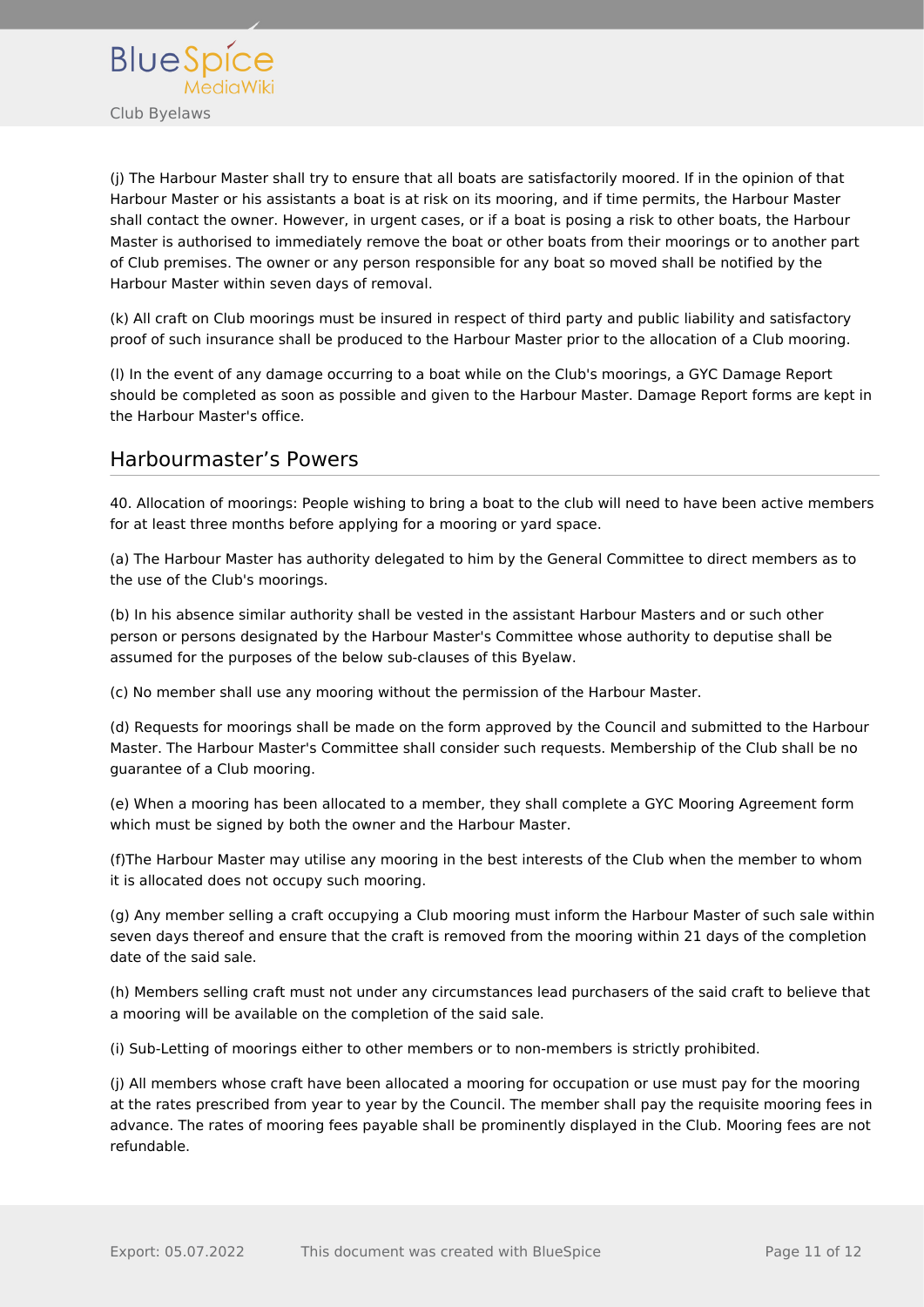

(j) The Harbour Master shall try to ensure that all boats are satisfactorily moored. If in the opinion of that Harbour Master or his assistants a boat is at risk on its mooring, and if time permits, the Harbour Master shall contact the owner. However, in urgent cases, or if a boat is posing a risk to other boats, the Harbour Master is authorised to immediately remove the boat or other boats from their moorings or to another part of Club premises. The owner or any person responsible for any boat so moved shall be notified by the Harbour Master within seven days of removal.

(k) All craft on Club moorings must be insured in respect of third party and public liability and satisfactory proof of such insurance shall be produced to the Harbour Master prior to the allocation of a Club mooring.

(l) In the event of any damage occurring to a boat while on the Club's moorings, a GYC Damage Report should be completed as soon as possible and given to the Harbour Master. Damage Report forms are kept in the Harbour Master's office.

#### <span id="page-10-0"></span>Harbourmaster's Powers

40. Allocation of moorings: People wishing to bring a boat to the club will need to have been active members for at least three months before applying for a mooring or yard space.

(a) The Harbour Master has authority delegated to him by the General Committee to direct members as to the use of the Club's moorings.

(b) In his absence similar authority shall be vested in the assistant Harbour Masters and or such other person or persons designated by the Harbour Master's Committee whose authority to deputise shall be assumed for the purposes of the below sub-clauses of this Byelaw.

(c) No member shall use any mooring without the permission of the Harbour Master.

(d) Requests for moorings shall be made on the form approved by the Council and submitted to the Harbour Master. The Harbour Master's Committee shall consider such requests. Membership of the Club shall be no guarantee of a Club mooring.

(e) When a mooring has been allocated to a member, they shall complete a GYC Mooring Agreement form which must be signed by both the owner and the Harbour Master.

(f)The Harbour Master may utilise any mooring in the best interests of the Club when the member to whom it is allocated does not occupy such mooring.

(g) Any member selling a craft occupying a Club mooring must inform the Harbour Master of such sale within seven days thereof and ensure that the craft is removed from the mooring within 21 days of the completion date of the said sale.

(h) Members selling craft must not under any circumstances lead purchasers of the said craft to believe that a mooring will be available on the completion of the said sale.

(i) Sub-Letting of moorings either to other members or to non-members is strictly prohibited.

(j) All members whose craft have been allocated a mooring for occupation or use must pay for the mooring at the rates prescribed from year to year by the Council. The member shall pay the requisite mooring fees in advance. The rates of mooring fees payable shall be prominently displayed in the Club. Mooring fees are not refundable.